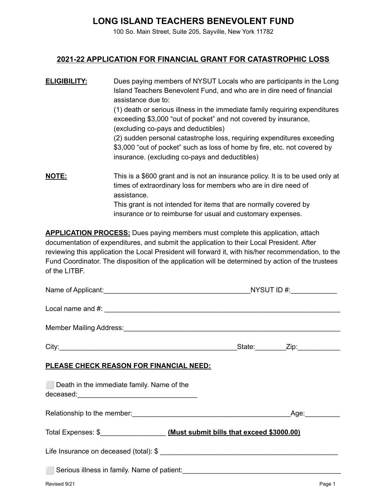## **LONG ISLAND TEACHERS BENEVOLENT FUND**

100 So. Main Street, Suite 205, Sayville, New York 11782

## **2021-22 APPLICATION FOR FINANCIAL GRANT FOR CATASTROPHIC LOSS**

| <b>ELIGIBILITY:</b> | Dues paying members of NYSUT Locals who are participants in the Long<br>Island Teachers Benevolent Fund, and who are in dire need of financial<br>assistance due to:<br>(1) death or serious illness in the immediate family requiring expenditures                                                  |
|---------------------|------------------------------------------------------------------------------------------------------------------------------------------------------------------------------------------------------------------------------------------------------------------------------------------------------|
|                     | exceeding \$3,000 "out of pocket" and not covered by insurance,<br>(excluding co-pays and deductibles)                                                                                                                                                                                               |
|                     | (2) sudden personal catastrophe loss, requiring expenditures exceeding<br>\$3,000 "out of pocket" such as loss of home by fire, etc. not covered by<br>insurance. (excluding co-pays and deductibles)                                                                                                |
| <b>NOTE:</b>        | This is a \$600 grant and is not an insurance policy. It is to be used only at<br>times of extraordinary loss for members who are in dire need of<br>assistance.<br>This grant is not intended for items that are normally covered by<br>insurance or to reimburse for usual and customary expenses. |

**APPLICATION PROCESS:** Dues paying members must complete this application, attach documentation of expenditures, and submit the application to their Local President. After reviewing this application the Local President will forward it, with his/her recommendation, to the Fund Coordinator. The disposition of the application will be determined by action of the trustees of the LITBF.

|                                                | Local name and #: $\frac{1}{2}$ $\frac{1}{2}$ $\frac{1}{2}$ $\frac{1}{2}$ $\frac{1}{2}$ $\frac{1}{2}$ $\frac{1}{2}$ $\frac{1}{2}$ $\frac{1}{2}$ $\frac{1}{2}$ $\frac{1}{2}$ $\frac{1}{2}$ $\frac{1}{2}$ $\frac{1}{2}$ $\frac{1}{2}$ $\frac{1}{2}$ $\frac{1}{2}$ $\frac{1}{2}$ $\frac{1}{2}$ $\frac{1}{2}$ $\frac$ |
|------------------------------------------------|-------------------------------------------------------------------------------------------------------------------------------------------------------------------------------------------------------------------------------------------------------------------------------------------------------------------|
|                                                | Member Mailing Address: Manual Account of the Contract of the Contract of the Contract of the Contract of the                                                                                                                                                                                                     |
|                                                |                                                                                                                                                                                                                                                                                                                   |
| <u>PLEASE CHECK REASON FOR FINANCIAL NEED:</u> |                                                                                                                                                                                                                                                                                                                   |
| Death in the immediate family. Name of the     |                                                                                                                                                                                                                                                                                                                   |
|                                                |                                                                                                                                                                                                                                                                                                                   |
|                                                |                                                                                                                                                                                                                                                                                                                   |
|                                                |                                                                                                                                                                                                                                                                                                                   |
|                                                | Serious illness in family. Name of patient: <b>Serious Container and Serious Property</b> Serious Contains and Serious                                                                                                                                                                                            |
| Revised 9/21                                   | Page 1                                                                                                                                                                                                                                                                                                            |